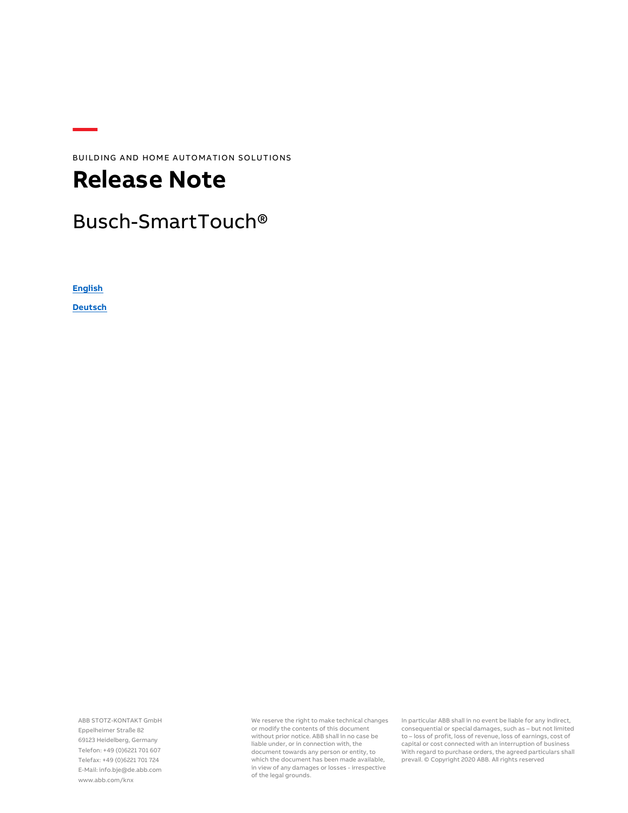BUILDING AND HOME AUTOMATION SOLUTIONS

# **Release Note**

# Busch-SmartTouch®

**[English](#page-1-0)**

**[Deutsch](#page-3-0)**

ABB STOTZ-KONTAKT GmbH Eppelheimer Straße 82 69123 Heidelberg, Germany Telefon: +49 (0)6221 701 607 Telefax: +49 (0)6221 701 724 E-Mail: info.bje@de.abb.com www.abb.com/knx

We reserve the right to make technical changes or modify the contents of this document without prior notice. ABB shall in no case be liable under, or in connection with, the document towards any person or entity, to which the document has been made available, in view of any damages or losses - irrespective of the legal grounds.

In particular ABB shall in no event be liable for any indirect, consequential or special damages, such as – but not limited to – loss of profit, loss of revenue, loss of earnings, cost of capital or cost connected with an interruption of business With regard to purchase orders, the agreed particulars shall prevail. © Copyright 2020 ABB. All rights reserved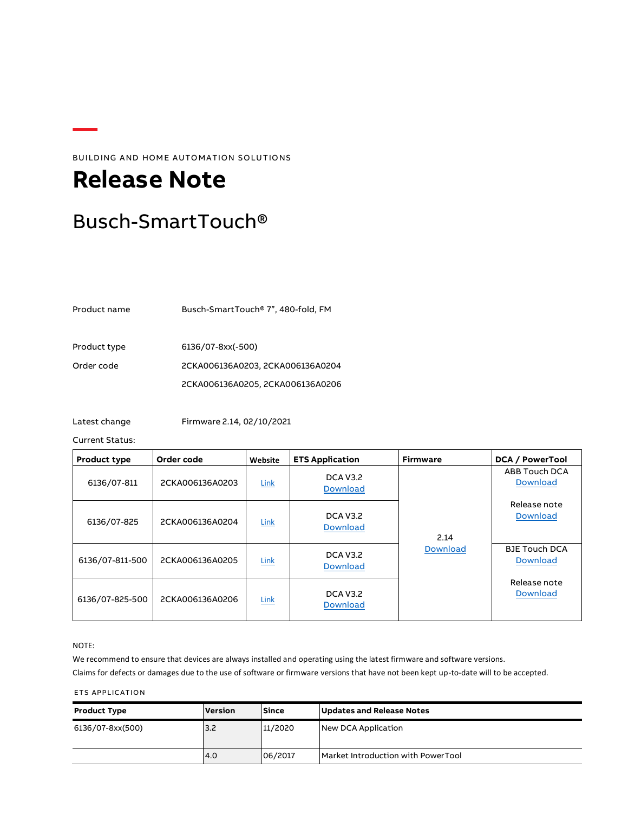BUILDING AND HOME AUTOMATION SOLUTIONS

# <span id="page-1-0"></span>**Release Note**

# Busch-SmartTouch®

Product name Busch-SmartTouch® 7", 480-fold, FM

Product type 6136/07-8xx(-500) Order code 2CKA006136A0203, 2CKA006136A0204 2CKA006136A0205, 2CKA006136A0206

Latest change Firmware 2.14, 02/10/2021

Current Status:

| <b>Product type</b> | Order code      | Website     | <b>ETS Application</b>             | <b>Firmware</b> | <b>DCA / PowerTool</b>                  |
|---------------------|-----------------|-------------|------------------------------------|-----------------|-----------------------------------------|
| 6136/07-811         | 2CKA006136A0203 | <b>Link</b> | <b>DCA V3.2</b><br><b>Download</b> |                 | ABB Touch DCA<br><b>Download</b>        |
| 6136/07-825         | 2CKA006136A0204 | Link        | <b>DCA V3.2</b><br><b>Download</b> | 2.14            | Release note<br>Download                |
| 6136/07-811-500     | 2CKA006136A0205 | Link        | <b>DCA V3.2</b><br><b>Download</b> | <b>Download</b> | <b>BJE Touch DCA</b><br><b>Download</b> |
| 6136/07-825-500     | 2CKA006136A0206 | Link        | <b>DCA V3.2</b><br><b>Download</b> |                 | Release note<br><b>Download</b>         |

### NOTE:

We recommend to ensure that devices are always installed and operating using the latest firmware and software versions. Claims for defects or damages due to the use of software or firmware versions that have not been kept up-to-date will to be accepted.

### ETS APPLICATION

| <b>Product Type</b> | <b>Version</b> | <b>Since</b> | Updates and Release Notes          |
|---------------------|----------------|--------------|------------------------------------|
| 6136/07-8xx(500)    | 3.2            | 11/2020      | New DCA Application                |
|                     | 4.0            | 06/2017      | Market Introduction with PowerTool |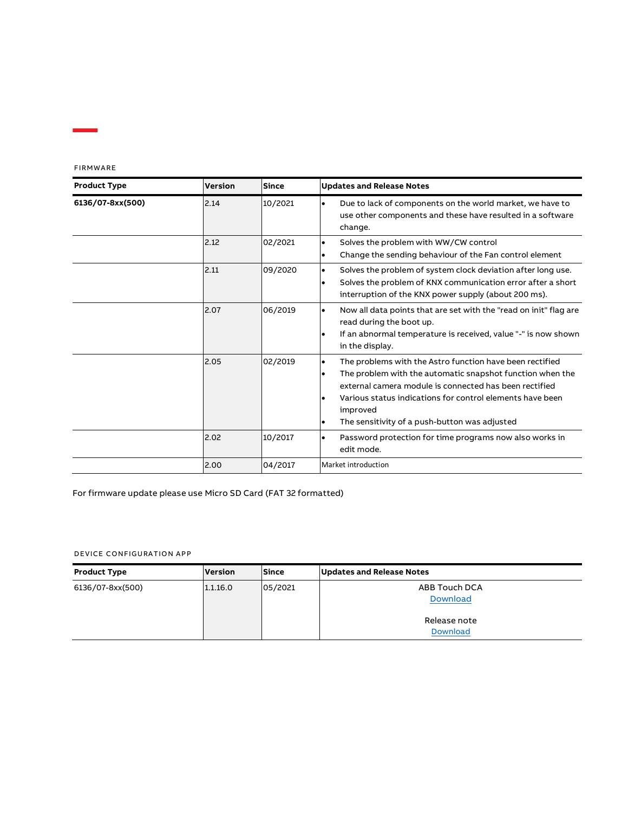| FIRMWARE |  |
|----------|--|
|----------|--|

| <b>Product Type</b> | <b>Version</b> | <b>Since</b> | <b>Updates and Release Notes</b>                                                                                                                                                                                                                                                                                                 |
|---------------------|----------------|--------------|----------------------------------------------------------------------------------------------------------------------------------------------------------------------------------------------------------------------------------------------------------------------------------------------------------------------------------|
| 6136/07-8xx(500)    | 2.14           | 10/2021      | Due to lack of components on the world market, we have to<br>$\bullet$<br>use other components and these have resulted in a software<br>change.                                                                                                                                                                                  |
|                     | 2.12           | 02/2021      | Solves the problem with WW/CW control<br>$\bullet$<br>Change the sending behaviour of the Fan control element<br>$\bullet$                                                                                                                                                                                                       |
|                     | 2.11           | 09/2020      | Solves the problem of system clock deviation after long use.<br>$\bullet$<br>Solves the problem of KNX communication error after a short<br>٠<br>interruption of the KNX power supply (about 200 ms).                                                                                                                            |
|                     | 2.07           | 06/2019      | Now all data points that are set with the "read on init" flag are<br>$\bullet$<br>read during the boot up.<br>If an abnormal temperature is received, value "-" is now shown<br>in the display.                                                                                                                                  |
|                     | 2.05           | 02/2019      | The problems with the Astro function have been rectified<br>٠<br>The problem with the automatic snapshot function when the<br>٠<br>external camera module is connected has been rectified<br>Various status indications for control elements have been<br>improved<br>The sensitivity of a push-button was adjusted<br>$\bullet$ |
|                     | 2.02           | 10/2017      | Password protection for time programs now also works in<br>$\bullet$<br>edit mode.                                                                                                                                                                                                                                               |
|                     | 2.00           | 04/2017      | Market introduction                                                                                                                                                                                                                                                                                                              |

For firmware update please use Micro SD Card (FAT 32 formatted)

## DEVICE CONFIGURATION APP

| <b>Product Type</b> | <b>Version</b> | <b>Since</b> | Updates and Release Notes |
|---------------------|----------------|--------------|---------------------------|
| 6136/07-8xx(500)    | 1.1.16.0       | 05/2021      | ABB Touch DCA<br>Download |
|                     |                |              | Release note<br>Download  |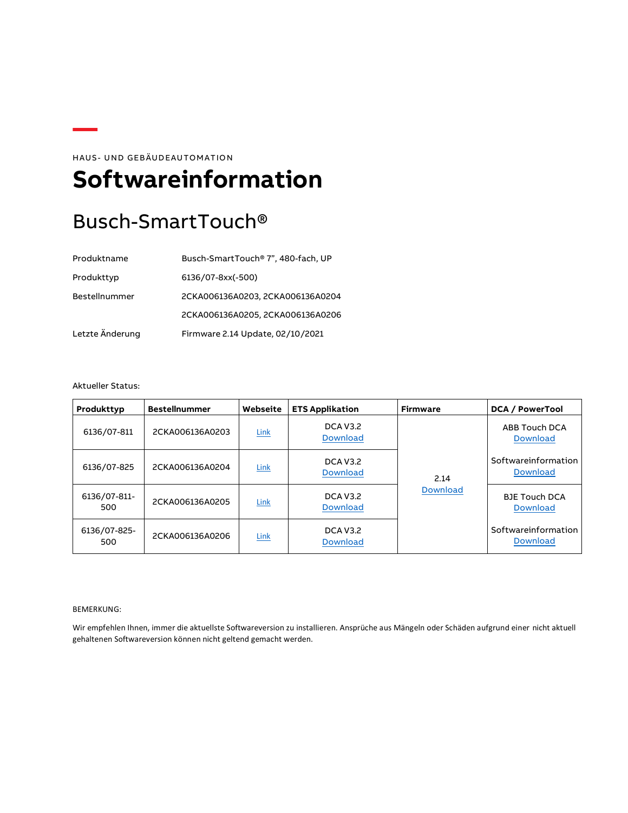HAUS- UND GEBÄUDEAUTOMATION

# <span id="page-3-0"></span>**Softwareinformation**

# Busch-SmartTouch®

| Produktname     | Busch-SmartTouch® 7", 480-fach, UP |
|-----------------|------------------------------------|
| Produkttyp      | 6136/07-8xx(-500)                  |
| Bestellnummer   | 2CKA006136A0203, 2CKA006136A0204   |
|                 | 2CKA006136A0205, 2CKA006136A0206   |
| Letzte Änderung | Firmware 2.14 Update, 02/10/2021   |

### Aktueller Status:

| Produkttyp          | <b>Bestellnummer</b> | Webseite    | <b>ETS Applikation</b>             | <b>Firmware</b> | DCA / PowerTool                         |
|---------------------|----------------------|-------------|------------------------------------|-----------------|-----------------------------------------|
| 6136/07-811         | 2CKA006136A0203      | Link        | <b>DCA V3.2</b><br><b>Download</b> |                 | ABB Touch DCA<br><b>Download</b>        |
| 6136/07-825         | 2CKA006136A0204      | <b>Link</b> | <b>DCA V3.2</b><br><b>Download</b> | 2.14            | Softwareinformation<br><b>Download</b>  |
| 6136/07-811-<br>500 | 2CKA006136A0205      | <b>Link</b> | <b>DCA V3.2</b><br><b>Download</b> | <b>Download</b> | <b>BJE Touch DCA</b><br><b>Download</b> |
| 6136/07-825-<br>500 | 2CKA006136A0206      | Link        | <b>DCA V3.2</b><br><b>Download</b> |                 | Softwareinformation<br><b>Download</b>  |

#### BEMERKUNG:

Wir empfehlen Ihnen, immer die aktuellste Softwareversion zu installieren. Ansprüche aus Mängeln oder Schäden aufgrund einer nicht aktuell gehaltenen Softwareversion können nicht geltend gemacht werden.